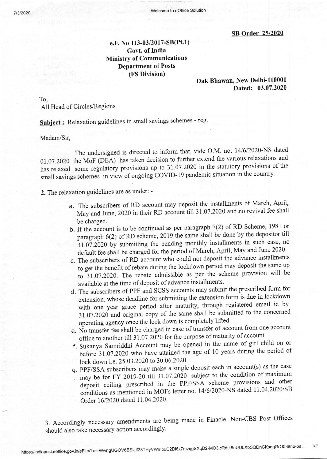SB Order 25/2020

## e.F. No 113-03/2017-SB(Pt.1) Govt. of India Ministry of Communications Department of Posts (FS Division)

## Dak Bhawan, New Delhi-110001 Dated: 03.07.2020

To,

All Head of Circles/Regions

Subject: Relaxation guidelines in small savings schemes - reg.

Madam/Sir,

The undersigned is directed to inform that, vide O.M. no. 14/6/2020-NS dated O:.O7.2O2O the MoF (DEA) has taken decision to further extend the various relaxations and has relaxed some regulatory provisions up to 31.07.2020 in the statutory provisions of the small savings schemes in view of ongoing COVID-19 pandemic situation in the country.

2. The relaxation guidelines are as under: -

- a. The subscribers of RD account may deposit the installments of March, April, May and June, 2020 in their RD account till 31.07.2020 and no revival fee shall be charged.
- b. If the account is to be continued as per paragraph  $7(2)$  of RD Scheme, 1981 or paragraph 6(2) of RD scheme, 2019 the same shall be done by the depositor till 31.07.2020 by submitting the pending monthly installments in such case, no default fee shall be charged for the period of March, April, May and June 2020.
- c. The subscribers of RD account who could not deposit the advance installments to get the benefit of rebate during the lockdown period may deposit the same up to 31.07.2020. The rebate admissible as per the scheme provision will be available at the time of deposit of advance installments.
- d. The subscribers of PPF and SCSS accounts may submit the prescribed form for with one-year grace period after maturity, through registered email id by extension, whose deadline for submitting the extension form is due in lockdown 31.07.2020 and original copy of the same shall be submitted to the concerned operating agency once the lock down is completely lifted'
- e. No transfer fee shall be charged in case of transfer of account from one account office to another till 31.07.2020 for the purpose of maturity of account.
- f. Sukanya Samriddhi Account may be opened in the name of girl child on or before 3t.02.2020 who have attained the age of 10 years during the period of lock down i.e. 25.03.2020 to 30.06.2020.
- g. PPF/SSA subscribers may make a single deposit each in account(s) as the case<br> $\frac{1}{2}$  or EN 2010.20 till 31.07.2020, subject to the condition of maximum may be for FY 2019-20 till 31.07.2020 subject to the condition of maximum deposit ceiling prescribed in the PPF/SSA scheme provisions and other conditions as mentioned in MOFs letter no. 14/6/2020-NS dated 11.04.2020/SB Order 16/2020 dated 11.04.2020.

. Accordingly necessary amendments are being made in Finacle Non-CBS Post Offices 3 should also take necessary action accordingly.